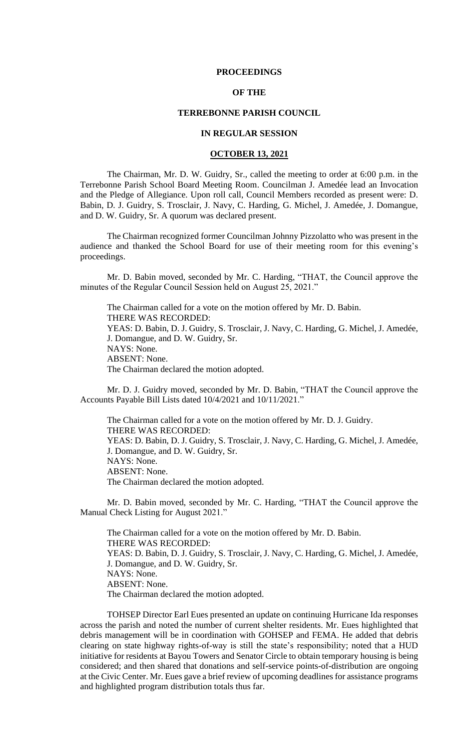#### **PROCEEDINGS**

# **OF THE**

# **TERREBONNE PARISH COUNCIL**

# **IN REGULAR SESSION**

### **OCTOBER 13, 2021**

The Chairman, Mr. D. W. Guidry, Sr., called the meeting to order at 6:00 p.m. in the Terrebonne Parish School Board Meeting Room. Councilman J. Amedée lead an Invocation and the Pledge of Allegiance. Upon roll call, Council Members recorded as present were: D. Babin, D. J. Guidry, S. Trosclair, J. Navy, C. Harding, G. Michel, J. Amedée, J. Domangue, and D. W. Guidry, Sr. A quorum was declared present.

The Chairman recognized former Councilman Johnny Pizzolatto who was present in the audience and thanked the School Board for use of their meeting room for this evening's proceedings.

Mr. D. Babin moved, seconded by Mr. C. Harding, "THAT, the Council approve the minutes of the Regular Council Session held on August 25, 2021."

The Chairman called for a vote on the motion offered by Mr. D. Babin. THERE WAS RECORDED: YEAS: D. Babin, D. J. Guidry, S. Trosclair, J. Navy, C. Harding, G. Michel, J. Amedée, J. Domangue, and D. W. Guidry, Sr. NAYS: None. ABSENT: None. The Chairman declared the motion adopted.

Mr. D. J. Guidry moved, seconded by Mr. D. Babin, "THAT the Council approve the Accounts Payable Bill Lists dated 10/4/2021 and 10/11/2021."

The Chairman called for a vote on the motion offered by Mr. D. J. Guidry. THERE WAS RECORDED: YEAS: D. Babin, D. J. Guidry, S. Trosclair, J. Navy, C. Harding, G. Michel, J. Amedée, J. Domangue, and D. W. Guidry, Sr. NAYS: None. ABSENT: None. The Chairman declared the motion adopted.

Mr. D. Babin moved, seconded by Mr. C. Harding, "THAT the Council approve the Manual Check Listing for August 2021."

The Chairman called for a vote on the motion offered by Mr. D. Babin. THERE WAS RECORDED: YEAS: D. Babin, D. J. Guidry, S. Trosclair, J. Navy, C. Harding, G. Michel, J. Amedée, J. Domangue, and D. W. Guidry, Sr. NAYS: None. ABSENT: None. The Chairman declared the motion adopted.

TOHSEP Director Earl Eues presented an update on continuing Hurricane Ida responses across the parish and noted the number of current shelter residents. Mr. Eues highlighted that debris management will be in coordination with GOHSEP and FEMA. He added that debris clearing on state highway rights-of-way is still the state's responsibility; noted that a HUD initiative for residents at Bayou Towers and Senator Circle to obtain temporary housing is being considered; and then shared that donations and self-service points-of-distribution are ongoing at the Civic Center. Mr. Eues gave a brief review of upcoming deadlines for assistance programs and highlighted program distribution totals thus far.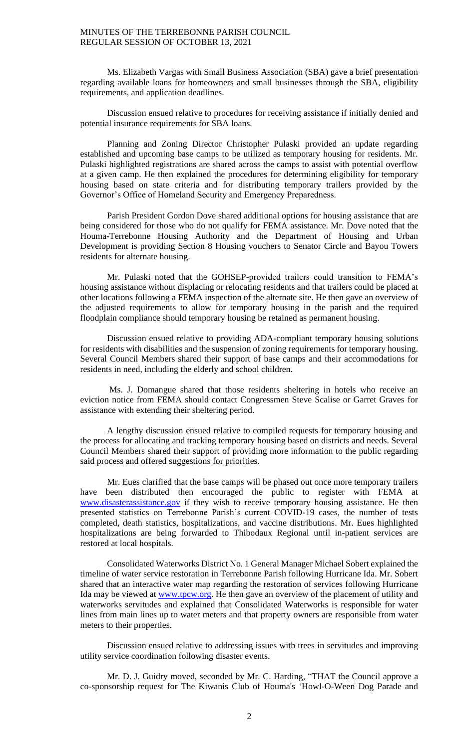Ms. Elizabeth Vargas with Small Business Association (SBA) gave a brief presentation regarding available loans for homeowners and small businesses through the SBA, eligibility requirements, and application deadlines.

Discussion ensued relative to procedures for receiving assistance if initially denied and potential insurance requirements for SBA loans.

Planning and Zoning Director Christopher Pulaski provided an update regarding established and upcoming base camps to be utilized as temporary housing for residents. Mr. Pulaski highlighted registrations are shared across the camps to assist with potential overflow at a given camp. He then explained the procedures for determining eligibility for temporary housing based on state criteria and for distributing temporary trailers provided by the Governor's Office of Homeland Security and Emergency Preparedness.

Parish President Gordon Dove shared additional options for housing assistance that are being considered for those who do not qualify for FEMA assistance. Mr. Dove noted that the Houma-Terrebonne Housing Authority and the Department of Housing and Urban Development is providing Section 8 Housing vouchers to Senator Circle and Bayou Towers residents for alternate housing.

Mr. Pulaski noted that the GOHSEP-provided trailers could transition to FEMA's housing assistance without displacing or relocating residents and that trailers could be placed at other locations following a FEMA inspection of the alternate site. He then gave an overview of the adjusted requirements to allow for temporary housing in the parish and the required floodplain compliance should temporary housing be retained as permanent housing.

Discussion ensued relative to providing ADA-compliant temporary housing solutions for residents with disabilities and the suspension of zoning requirements for temporary housing. Several Council Members shared their support of base camps and their accommodations for residents in need, including the elderly and school children.

Ms. J. Domangue shared that those residents sheltering in hotels who receive an eviction notice from FEMA should contact Congressmen Steve Scalise or Garret Graves for assistance with extending their sheltering period.

A lengthy discussion ensued relative to compiled requests for temporary housing and the process for allocating and tracking temporary housing based on districts and needs. Several Council Members shared their support of providing more information to the public regarding said process and offered suggestions for priorities.

Mr. Eues clarified that the base camps will be phased out once more temporary trailers have been distributed then encouraged the public to register with FEMA at [www.disasterassistance.gov](http://www.disasterassistance.gov/) if they wish to receive temporary housing assistance. He then presented statistics on Terrebonne Parish's current COVID-19 cases, the number of tests completed, death statistics, hospitalizations, and vaccine distributions. Mr. Eues highlighted hospitalizations are being forwarded to Thibodaux Regional until in-patient services are restored at local hospitals.

Consolidated Waterworks District No. 1 General Manager Michael Sobert explained the timeline of water service restoration in Terrebonne Parish following Hurricane Ida. Mr. Sobert shared that an interactive water map regarding the restoration of services following Hurricane Ida may be viewed at [www.tpcw.org.](http://www.tpcw.org/) He then gave an overview of the placement of utility and waterworks servitudes and explained that Consolidated Waterworks is responsible for water lines from main lines up to water meters and that property owners are responsible from water meters to their properties.

Discussion ensued relative to addressing issues with trees in servitudes and improving utility service coordination following disaster events.

Mr. D. J. Guidry moved, seconded by Mr. C. Harding, "THAT the Council approve a co-sponsorship request for The Kiwanis Club of Houma's 'Howl-O-Ween Dog Parade and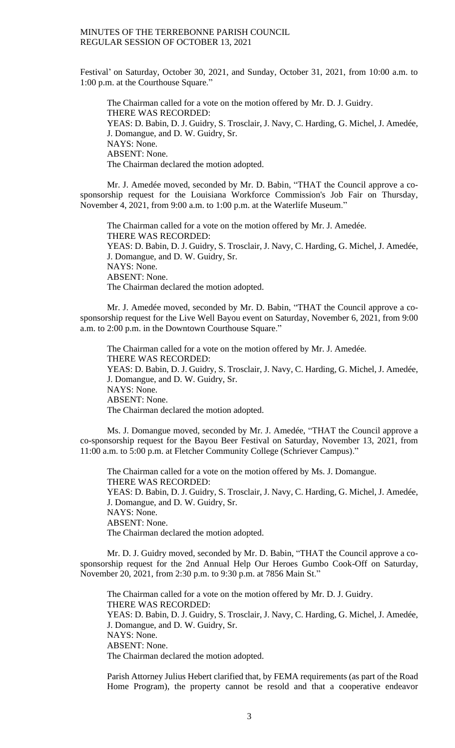Festival' on Saturday, October 30, 2021, and Sunday, October 31, 2021, from 10:00 a.m. to 1:00 p.m. at the Courthouse Square."

The Chairman called for a vote on the motion offered by Mr. D. J. Guidry. THERE WAS RECORDED: YEAS: D. Babin, D. J. Guidry, S. Trosclair, J. Navy, C. Harding, G. Michel, J. Amedée, J. Domangue, and D. W. Guidry, Sr. NAYS: None. ABSENT: None. The Chairman declared the motion adopted.

Mr. J. Amedée moved, seconded by Mr. D. Babin, "THAT the Council approve a cosponsorship request for the Louisiana Workforce Commission's Job Fair on Thursday, November 4, 2021, from 9:00 a.m. to 1:00 p.m. at the Waterlife Museum."

The Chairman called for a vote on the motion offered by Mr. J. Amedée. THERE WAS RECORDED: YEAS: D. Babin, D. J. Guidry, S. Trosclair, J. Navy, C. Harding, G. Michel, J. Amedée, J. Domangue, and D. W. Guidry, Sr. NAYS: None. ABSENT: None. The Chairman declared the motion adopted.

Mr. J. Amedée moved, seconded by Mr. D. Babin, "THAT the Council approve a cosponsorship request for the Live Well Bayou event on Saturday, November 6, 2021, from 9:00 a.m. to 2:00 p.m. in the Downtown Courthouse Square."

The Chairman called for a vote on the motion offered by Mr. J. Amedée. THERE WAS RECORDED: YEAS: D. Babin, D. J. Guidry, S. Trosclair, J. Navy, C. Harding, G. Michel, J. Amedée, J. Domangue, and D. W. Guidry, Sr. NAYS: None. ABSENT: None. The Chairman declared the motion adopted.

Ms. J. Domangue moved, seconded by Mr. J. Amedée, "THAT the Council approve a co-sponsorship request for the Bayou Beer Festival on Saturday, November 13, 2021, from 11:00 a.m. to 5:00 p.m. at Fletcher Community College (Schriever Campus)."

The Chairman called for a vote on the motion offered by Ms. J. Domangue. THERE WAS RECORDED: YEAS: D. Babin, D. J. Guidry, S. Trosclair, J. Navy, C. Harding, G. Michel, J. Amedée, J. Domangue, and D. W. Guidry, Sr. NAYS: None. ABSENT: None. The Chairman declared the motion adopted.

Mr. D. J. Guidry moved, seconded by Mr. D. Babin, "THAT the Council approve a cosponsorship request for the 2nd Annual Help Our Heroes Gumbo Cook-Off on Saturday, November 20, 2021, from 2:30 p.m. to 9:30 p.m. at 7856 Main St."

The Chairman called for a vote on the motion offered by Mr. D. J. Guidry. THERE WAS RECORDED: YEAS: D. Babin, D. J. Guidry, S. Trosclair, J. Navy, C. Harding, G. Michel, J. Amedée, J. Domangue, and D. W. Guidry, Sr. NAYS: None. ABSENT: None. The Chairman declared the motion adopted.

Parish Attorney Julius Hebert clarified that, by FEMA requirements (as part of the Road Home Program), the property cannot be resold and that a cooperative endeavor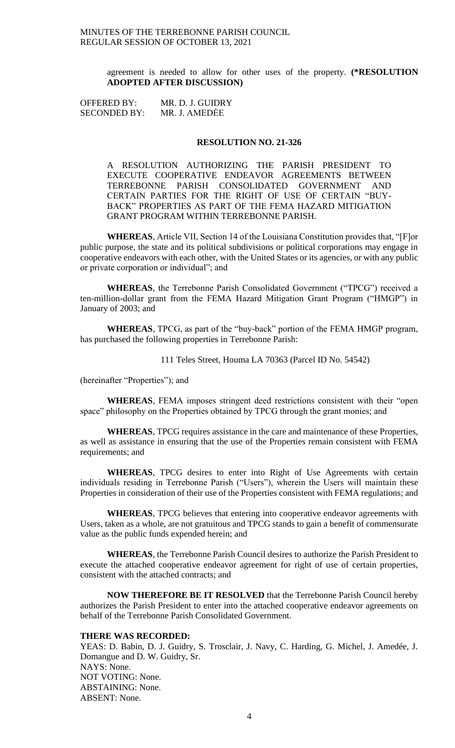agreement is needed to allow for other uses of the property. **(\*RESOLUTION ADOPTED AFTER DISCUSSION)**

OFFERED BY: MR. D. J. GUIDRY SECONDED BY: MR. J. AMEDĖE

### **RESOLUTION NO. 21-326**

A RESOLUTION AUTHORIZING THE PARISH PRESIDENT TO EXECUTE COOPERATIVE ENDEAVOR AGREEMENTS BETWEEN TERREBONNE PARISH CONSOLIDATED GOVERNMENT AND CERTAIN PARTIES FOR THE RIGHT OF USE OF CERTAIN "BUY-BACK" PROPERTIES AS PART OF THE FEMA HAZARD MITIGATION GRANT PROGRAM WITHIN TERREBONNE PARISH.

**WHEREAS**, Article VII, Section 14 of the Louisiana Constitution provides that, "[F]or public purpose, the state and its political subdivisions or political corporations may engage in cooperative endeavors with each other, with the United States or its agencies, or with any public or private corporation or individual"; and

**WHEREAS**, the Terrebonne Parish Consolidated Government ("TPCG") received a ten-million-dollar grant from the FEMA Hazard Mitigation Grant Program ("HMGP") in January of 2003; and

**WHEREAS**, TPCG, as part of the "buy-back" portion of the FEMA HMGP program, has purchased the following properties in Terrebonne Parish:

111 Teles Street, Houma LA 70363 (Parcel ID No. 54542)

(hereinafter "Properties"); and

**WHEREAS**, FEMA imposes stringent deed restrictions consistent with their "open space" philosophy on the Properties obtained by TPCG through the grant monies; and

**WHEREAS**, TPCG requires assistance in the care and maintenance of these Properties, as well as assistance in ensuring that the use of the Properties remain consistent with FEMA requirements; and

**WHEREAS**, TPCG desires to enter into Right of Use Agreements with certain individuals residing in Terrebonne Parish ("Users"), wherein the Users will maintain these Properties in consideration of their use of the Properties consistent with FEMA regulations; and

**WHEREAS**, TPCG believes that entering into cooperative endeavor agreements with Users, taken as a whole, are not gratuitous and TPCG stands to gain a benefit of commensurate value as the public funds expended herein; and

**WHEREAS**, the Terrebonne Parish Council desires to authorize the Parish President to execute the attached cooperative endeavor agreement for right of use of certain properties, consistent with the attached contracts; and

**NOW THEREFORE BE IT RESOLVED** that the Terrebonne Parish Council hereby authorizes the Parish President to enter into the attached cooperative endeavor agreements on behalf of the Terrebonne Parish Consolidated Government.

# **THERE WAS RECORDED:**

YEAS: D. Babin, D. J. Guidry, S. Trosclair, J. Navy, C. Harding, G. Michel, J. Amedée, J. Domangue and D. W. Guidry, Sr. NAYS: None. NOT VOTING: None. ABSTAINING: None. ABSENT: None.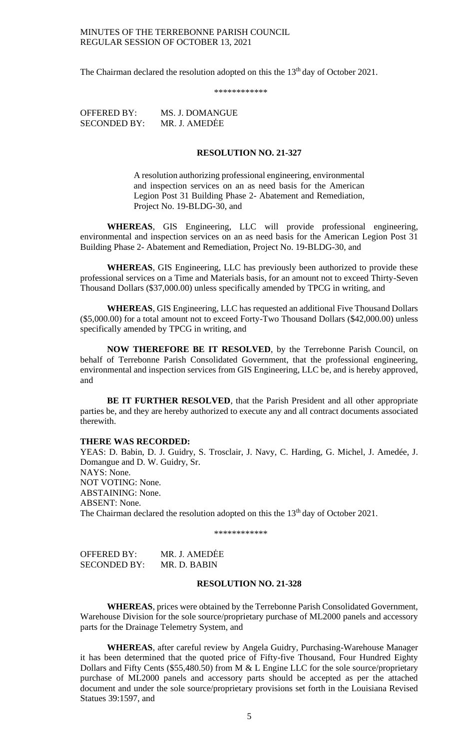The Chairman declared the resolution adopted on this the 13<sup>th</sup> day of October 2021.

\*\*\*\*\*\*\*\*\*\*\*\*

OFFERED BY: MS. J. DOMANGUE SECONDED BY: MR. J. AMEDĖE

# **RESOLUTION NO. 21-327**

A resolution authorizing professional engineering, environmental and inspection services on an as need basis for the American Legion Post 31 Building Phase 2- Abatement and Remediation, Project No. 19-BLDG-30, and

**WHEREAS**, GIS Engineering, LLC will provide professional engineering, environmental and inspection services on an as need basis for the American Legion Post 31 Building Phase 2- Abatement and Remediation, Project No. 19-BLDG-30, and

**WHEREAS**, GIS Engineering, LLC has previously been authorized to provide these professional services on a Time and Materials basis, for an amount not to exceed Thirty-Seven Thousand Dollars (\$37,000.00) unless specifically amended by TPCG in writing, and

**WHEREAS**, GIS Engineering, LLC has requested an additional Five Thousand Dollars (\$5,000.00) for a total amount not to exceed Forty-Two Thousand Dollars (\$42,000.00) unless specifically amended by TPCG in writing, and

**NOW THEREFORE BE IT RESOLVED**, by the Terrebonne Parish Council, on behalf of Terrebonne Parish Consolidated Government, that the professional engineering, environmental and inspection services from GIS Engineering, LLC be, and is hereby approved, and

**BE IT FURTHER RESOLVED**, that the Parish President and all other appropriate parties be, and they are hereby authorized to execute any and all contract documents associated therewith.

### **THERE WAS RECORDED:**

YEAS: D. Babin, D. J. Guidry, S. Trosclair, J. Navy, C. Harding, G. Michel, J. Amedée, J. Domangue and D. W. Guidry, Sr. NAYS: None. NOT VOTING: None. ABSTAINING: None. ABSENT: None. The Chairman declared the resolution adopted on this the  $13<sup>th</sup>$  day of October 2021.

\*\*\*\*\*\*\*\*\*\*\*\*

OFFERED BY: MR. J. AMEDĖE SECONDED BY: MR. D. BABIN

#### **RESOLUTION NO. 21-328**

**WHEREAS**, prices were obtained by the Terrebonne Parish Consolidated Government, Warehouse Division for the sole source/proprietary purchase of ML2000 panels and accessory parts for the Drainage Telemetry System, and

**WHEREAS**, after careful review by Angela Guidry, Purchasing-Warehouse Manager it has been determined that the quoted price of Fifty-five Thousand, Four Hundred Eighty Dollars and Fifty Cents (\$55,480.50) from M & L Engine LLC for the sole source/proprietary purchase of ML2000 panels and accessory parts should be accepted as per the attached document and under the sole source/proprietary provisions set forth in the Louisiana Revised Statues 39:1597, and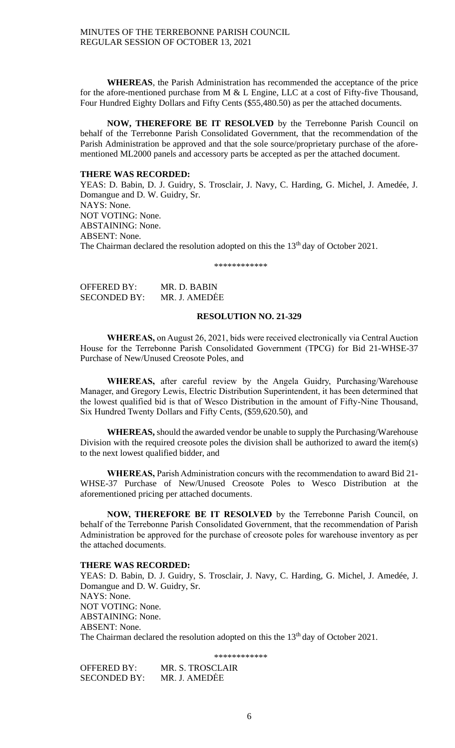**WHEREAS**, the Parish Administration has recommended the acceptance of the price for the afore-mentioned purchase from M & L Engine, LLC at a cost of Fifty-five Thousand, Four Hundred Eighty Dollars and Fifty Cents (\$55,480.50) as per the attached documents.

**NOW, THEREFORE BE IT RESOLVED** by the Terrebonne Parish Council on behalf of the Terrebonne Parish Consolidated Government, that the recommendation of the Parish Administration be approved and that the sole source/proprietary purchase of the aforementioned ML2000 panels and accessory parts be accepted as per the attached document.

### **THERE WAS RECORDED:**

YEAS: D. Babin, D. J. Guidry, S. Trosclair, J. Navy, C. Harding, G. Michel, J. Amedée, J. Domangue and D. W. Guidry, Sr. NAYS: None. NOT VOTING: None. ABSTAINING: None. ABSENT: None. The Chairman declared the resolution adopted on this the 13<sup>th</sup> day of October 2021.

\*\*\*\*\*\*\*\*\*\*\*\*

| OFFERED BY:         | MR. D. BABIN  |
|---------------------|---------------|
| <b>SECONDED BY:</b> | MR. J. AMEDĖE |

#### **RESOLUTION NO. 21-329**

**WHEREAS,** on August 26, 2021, bids were received electronically via Central Auction House for the Terrebonne Parish Consolidated Government (TPCG) for Bid 21-WHSE-37 Purchase of New/Unused Creosote Poles, and

**WHEREAS,** after careful review by the Angela Guidry, Purchasing/Warehouse Manager, and Gregory Lewis, Electric Distribution Superintendent, it has been determined that the lowest qualified bid is that of Wesco Distribution in the amount of Fifty-Nine Thousand, Six Hundred Twenty Dollars and Fifty Cents, (\$59,620.50), and

**WHEREAS,** should the awarded vendor be unable to supply the Purchasing/Warehouse Division with the required creosote poles the division shall be authorized to award the item(s) to the next lowest qualified bidder, and

**WHEREAS,** Parish Administration concurs with the recommendation to award Bid 21- WHSE-37 Purchase of New/Unused Creosote Poles to Wesco Distribution at the aforementioned pricing per attached documents.

**NOW, THEREFORE BE IT RESOLVED** by the Terrebonne Parish Council, on behalf of the Terrebonne Parish Consolidated Government, that the recommendation of Parish Administration be approved for the purchase of creosote poles for warehouse inventory as per the attached documents.

#### **THERE WAS RECORDED:**

YEAS: D. Babin, D. J. Guidry, S. Trosclair, J. Navy, C. Harding, G. Michel, J. Amedée, J. Domangue and D. W. Guidry, Sr. NAYS: None. NOT VOTING: None. ABSTAINING: None. ABSENT: None. The Chairman declared the resolution adopted on this the 13<sup>th</sup> day of October 2021.

\*\*\*\*\*\*\*\*\*\*\*\*

OFFERED BY: MR. S. TROSCLAIR SECONDED BY: MR. J. AMEDĖE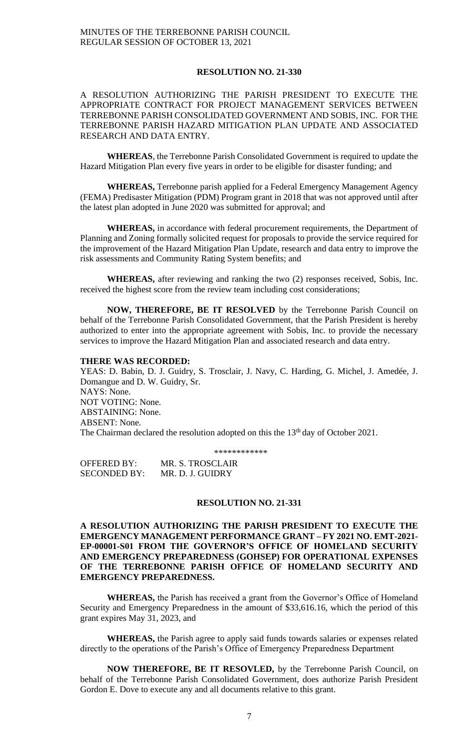#### **RESOLUTION NO. 21-330**

A RESOLUTION AUTHORIZING THE PARISH PRESIDENT TO EXECUTE THE APPROPRIATE CONTRACT FOR PROJECT MANAGEMENT SERVICES BETWEEN TERREBONNE PARISH CONSOLIDATED GOVERNMENT AND SOBIS, INC. FOR THE TERREBONNE PARISH HAZARD MITIGATION PLAN UPDATE AND ASSOCIATED RESEARCH AND DATA ENTRY.

**WHEREAS**, the Terrebonne Parish Consolidated Government is required to update the Hazard Mitigation Plan every five years in order to be eligible for disaster funding; and

**WHEREAS,** Terrebonne parish applied for a Federal Emergency Management Agency (FEMA) Predisaster Mitigation (PDM) Program grant in 2018 that was not approved until after the latest plan adopted in June 2020 was submitted for approval; and

**WHEREAS,** in accordance with federal procurement requirements, the Department of Planning and Zoning formally solicited request for proposals to provide the service required for the improvement of the Hazard Mitigation Plan Update, research and data entry to improve the risk assessments and Community Rating System benefits; and

**WHEREAS,** after reviewing and ranking the two (2) responses received, Sobis, Inc. received the highest score from the review team including cost considerations;

**NOW, THEREFORE, BE IT RESOLVED** by the Terrebonne Parish Council on behalf of the Terrebonne Parish Consolidated Government, that the Parish President is hereby authorized to enter into the appropriate agreement with Sobis, Inc. to provide the necessary services to improve the Hazard Mitigation Plan and associated research and data entry.

#### **THERE WAS RECORDED:**

YEAS: D. Babin, D. J. Guidry, S. Trosclair, J. Navy, C. Harding, G. Michel, J. Amedée, J. Domangue and D. W. Guidry, Sr. NAYS: None. NOT VOTING: None. ABSTAINING: None. ABSENT: None. The Chairman declared the resolution adopted on this the 13<sup>th</sup> day of October 2021.

\*\*\*\*\*\*\*\*\*\*\*\*

OFFERED BY: MR. S. TROSCLAIR SECONDED BY: MR. D. J. GUIDRY

#### **RESOLUTION NO. 21-331**

# **A RESOLUTION AUTHORIZING THE PARISH PRESIDENT TO EXECUTE THE EMERGENCY MANAGEMENT PERFORMANCE GRANT – FY 2021 NO. EMT-2021- EP-00001-S01 FROM THE GOVERNOR'S OFFICE OF HOMELAND SECURITY AND EMERGENCY PREPAREDNESS (GOHSEP) FOR OPERATIONAL EXPENSES OF THE TERREBONNE PARISH OFFICE OF HOMELAND SECURITY AND EMERGENCY PREPAREDNESS.**

**WHEREAS,** the Parish has received a grant from the Governor's Office of Homeland Security and Emergency Preparedness in the amount of \$33,616.16, which the period of this grant expires May 31, 2023, and

**WHEREAS,** the Parish agree to apply said funds towards salaries or expenses related directly to the operations of the Parish's Office of Emergency Preparedness Department

**NOW THEREFORE, BE IT RESOVLED,** by the Terrebonne Parish Council, on behalf of the Terrebonne Parish Consolidated Government, does authorize Parish President Gordon E. Dove to execute any and all documents relative to this grant.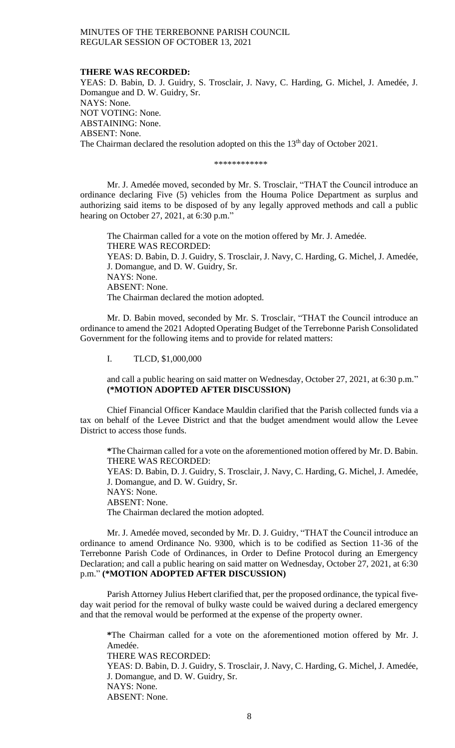#### **THERE WAS RECORDED:**

YEAS: D. Babin, D. J. Guidry, S. Trosclair, J. Navy, C. Harding, G. Michel, J. Amedée, J. Domangue and D. W. Guidry, Sr. NAYS: None. NOT VOTING: None. ABSTAINING: None. ABSENT: None. The Chairman declared the resolution adopted on this the 13<sup>th</sup> day of October 2021.

\*\*\*\*\*\*\*\*\*\*\*\*

Mr. J. Amedée moved, seconded by Mr. S. Trosclair, "THAT the Council introduce an ordinance declaring Five (5) vehicles from the Houma Police Department as surplus and authorizing said items to be disposed of by any legally approved methods and call a public hearing on October 27, 2021, at 6:30 p.m."

The Chairman called for a vote on the motion offered by Mr. J. Amedée. THERE WAS RECORDED: YEAS: D. Babin, D. J. Guidry, S. Trosclair, J. Navy, C. Harding, G. Michel, J. Amedée, J. Domangue, and D. W. Guidry, Sr. NAYS: None. ABSENT: None. The Chairman declared the motion adopted.

Mr. D. Babin moved, seconded by Mr. S. Trosclair, "THAT the Council introduce an ordinance to amend the 2021 Adopted Operating Budget of the Terrebonne Parish Consolidated Government for the following items and to provide for related matters:

I. TLCD, \$1,000,000

and call a public hearing on said matter on Wednesday, October 27, 2021, at 6:30 p.m." **(\*MOTION ADOPTED AFTER DISCUSSION)**

Chief Financial Officer Kandace Mauldin clarified that the Parish collected funds via a tax on behalf of the Levee District and that the budget amendment would allow the Levee District to access those funds.

**\***The Chairman called for a vote on the aforementioned motion offered by Mr. D. Babin. THERE WAS RECORDED: YEAS: D. Babin, D. J. Guidry, S. Trosclair, J. Navy, C. Harding, G. Michel, J. Amedée, J. Domangue, and D. W. Guidry, Sr. NAYS: None. ABSENT: None. The Chairman declared the motion adopted.

Mr. J. Amedée moved, seconded by Mr. D. J. Guidry, "THAT the Council introduce an ordinance to amend Ordinance No. 9300, which is to be codified as Section 11-36 of the Terrebonne Parish Code of Ordinances, in Order to Define Protocol during an Emergency Declaration; and call a public hearing on said matter on Wednesday, October 27, 2021, at 6:30 p.m." **(\*MOTION ADOPTED AFTER DISCUSSION)**

Parish Attorney Julius Hebert clarified that, per the proposed ordinance, the typical fiveday wait period for the removal of bulky waste could be waived during a declared emergency and that the removal would be performed at the expense of the property owner.

**\***The Chairman called for a vote on the aforementioned motion offered by Mr. J. Amedée.

THERE WAS RECORDED:

YEAS: D. Babin, D. J. Guidry, S. Trosclair, J. Navy, C. Harding, G. Michel, J. Amedée, J. Domangue, and D. W. Guidry, Sr. NAYS: None.

ABSENT: None.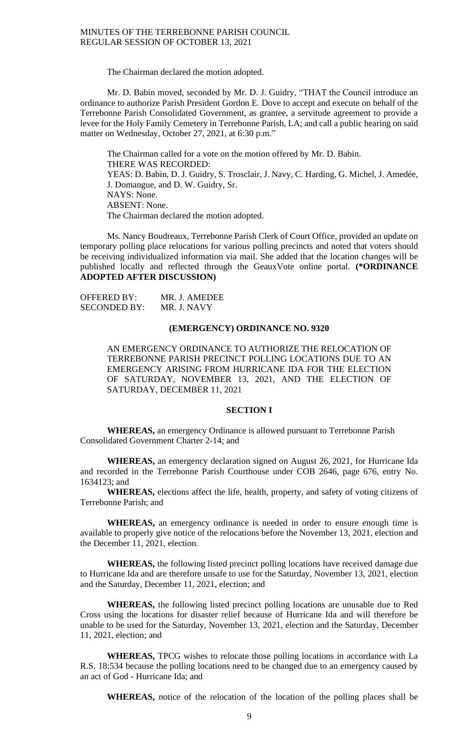The Chairman declared the motion adopted.

Mr. D. Babin moved, seconded by Mr. D. J. Guidry, "THAT the Council introduce an ordinance to authorize Parish President Gordon E. Dove to accept and execute on behalf of the Terrebonne Parish Consolidated Government, as grantee, a servitude agreement to provide a levee for the Holy Family Cemetery in Terrebonne Parish, LA; and call a public hearing on said matter on Wednesday, October 27, 2021, at 6:30 p.m."

The Chairman called for a vote on the motion offered by Mr. D. Babin. THERE WAS RECORDED: YEAS: D. Babin, D. J. Guidry, S. Trosclair, J. Navy, C. Harding, G. Michel, J. Amedée, J. Domangue, and D. W. Guidry, Sr. NAYS: None. ABSENT: None. The Chairman declared the motion adopted.

Ms. Nancy Boudreaux, Terrebonne Parish Clerk of Court Office, provided an update on temporary polling place relocations for various polling precincts and noted that voters should be receiving individualized information via mail. She added that the location changes will be published locally and reflected through the GeauxVote online portal. **(\*ORDINANCE ADOPTED AFTER DISCUSSION)**

OFFERED BY: MR. J. AMEDEE SECONDED BY: MR. J. NAVY

# **(EMERGENCY) ORDINANCE NO. 9320**

AN EMERGENCY ORDINANCE TO AUTHORIZE THE RELOCATION OF TERREBONNE PARISH PRECINCT POLLING LOCATIONS DUE TO AN EMERGENCY ARISING FROM HURRICANE IDA FOR THE ELECTION OF SATURDAY, NOVEMBER 13, 2021, AND THE ELECTION OF SATURDAY, DECEMBER 11, 2021

### **SECTION I**

**WHEREAS,** an emergency Ordinance is allowed pursuant to Terrebonne Parish Consolidated Government Charter 2-14; and

**WHEREAS,** an emergency declaration signed on August 26, 2021, for Hurricane Ida and recorded in the Terrebonne Parish Courthouse under COB 2646, page 676, entry No. 1634123; and

**WHEREAS,** elections affect the life, health, property, and safety of voting citizens of Terrebonne Parish; and

**WHEREAS,** an emergency ordinance is needed in order to ensure enough time is available to properly give notice of the relocations before the November 13, 2021, election and the December 11, 2021, election.

**WHEREAS,** the following listed precinct polling locations have received damage due to Hurricane Ida and are therefore unsafe to use for the Saturday, November 13, 2021, election and the Saturday, December 11, 2021, election; and

**WHEREAS,** the following listed precinct polling locations are unusable due to Red Cross using the locations for disaster relief because of Hurricane Ida and will therefore be unable to be used for the Saturday, November 13, 2021, election and the Saturday, December 11, 2021, election; and

**WHEREAS,** TPCG wishes to relocate those polling locations in accordance with La R.S. 18:534 because the polling locations need to be changed due to an emergency caused by an act of God - Hurricane Ida; and

**WHEREAS,** notice of the relocation of the location of the polling places shall be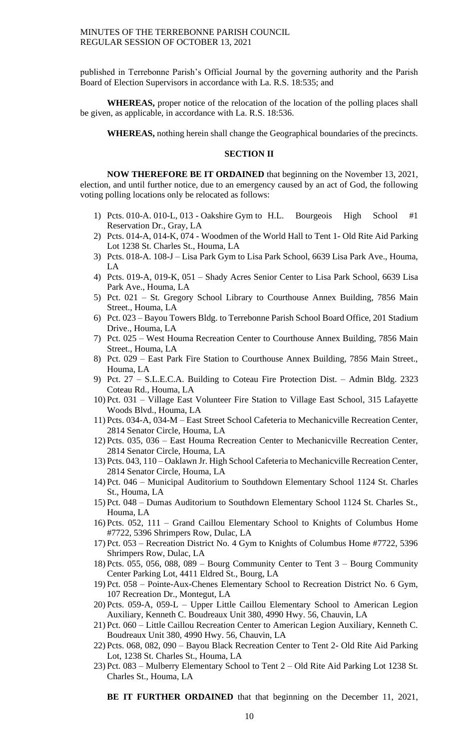published in Terrebonne Parish's Official Journal by the governing authority and the Parish Board of Election Supervisors in accordance with La. R.S. 18:535; and

**WHEREAS,** proper notice of the relocation of the location of the polling places shall be given, as applicable, in accordance with La. R.S. 18:536.

**WHEREAS,** nothing herein shall change the Geographical boundaries of the precincts.

#### **SECTION II**

**NOW THEREFORE BE IT ORDAINED** that beginning on the November 13, 2021, election, and until further notice, due to an emergency caused by an act of God, the following voting polling locations only be relocated as follows:

- 1) Pcts. 010-A. 010-L, 013 Oakshire Gym to H.L. Bourgeois High School #1 Reservation Dr., Gray, LA
- 2) Pcts. 014-A, 014-K, 074 Woodmen of the World Hall to Tent 1- Old Rite Aid Parking Lot 1238 St. Charles St., Houma, LA
- 3) Pcts. 018-A. 108-J Lisa Park Gym to Lisa Park School, 6639 Lisa Park Ave., Houma, LA
- 4) Pcts. 019-A, 019-K, 051 Shady Acres Senior Center to Lisa Park School, 6639 Lisa Park Ave., Houma, LA
- 5) Pct. 021 St. Gregory School Library to Courthouse Annex Building, 7856 Main Street., Houma, LA
- 6) Pct. 023 Bayou Towers Bldg. to Terrebonne Parish School Board Office, 201 Stadium Drive., Houma, LA
- 7) Pct. 025 West Houma Recreation Center to Courthouse Annex Building, 7856 Main Street., Houma, LA
- 8) Pct. 029 East Park Fire Station to Courthouse Annex Building, 7856 Main Street., Houma, LA
- 9) Pct. 27 S.L.E.C.A. Building to Coteau Fire Protection Dist. Admin Bldg. 2323 Coteau Rd., Houma, LA
- 10) Pct. 031 Village East Volunteer Fire Station to Village East School, 315 Lafayette Woods Blvd., Houma, LA
- 11) Pcts. 034-A, 034-M East Street School Cafeteria to Mechanicville Recreation Center, 2814 Senator Circle, Houma, LA
- 12) Pcts. 035, 036 East Houma Recreation Center to Mechanicville Recreation Center, 2814 Senator Circle, Houma, LA
- 13) Pcts. 043, 110 Oaklawn Jr. High School Cafeteria to Mechanicville Recreation Center, 2814 Senator Circle, Houma, LA
- 14) Pct. 046 Municipal Auditorium to Southdown Elementary School 1124 St. Charles St., Houma, LA
- 15) Pct. 048 Dumas Auditorium to Southdown Elementary School 1124 St. Charles St., Houma, LA
- 16) Pcts. 052, 111 Grand Caillou Elementary School to Knights of Columbus Home #7722, 5396 Shrimpers Row, Dulac, LA
- 17) Pct. 053 Recreation District No. 4 Gym to Knights of Columbus Home #7722, 5396 Shrimpers Row, Dulac, LA
- 18) Pcts. 055, 056, 088, 089 Bourg Community Center to Tent 3 Bourg Community Center Parking Lot, 4411 Eldred St., Bourg, LA
- 19) Pct. 058 Pointe-Aux-Chenes Elementary School to Recreation District No. 6 Gym, 107 Recreation Dr., Montegut, LA
- 20) Pcts. 059-A, 059-L Upper Little Caillou Elementary School to American Legion Auxiliary, Kenneth C. Boudreaux Unit 380, 4990 Hwy. 56, Chauvin, LA
- 21) Pct. 060 Little Caillou Recreation Center to American Legion Auxiliary, Kenneth C. Boudreaux Unit 380, 4990 Hwy. 56, Chauvin, LA
- 22) Pcts. 068, 082, 090 Bayou Black Recreation Center to Tent 2- Old Rite Aid Parking Lot, 1238 St. Charles St., Houma, LA
- 23) Pct. 083 Mulberry Elementary School to Tent 2 Old Rite Aid Parking Lot 1238 St. Charles St., Houma, LA

**BE IT FURTHER ORDAINED** that that beginning on the December 11, 2021,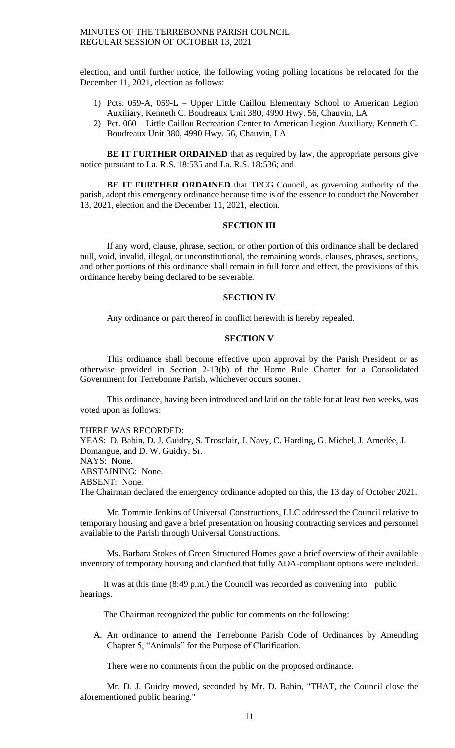election, and until further notice, the following voting polling locations be relocated for the December 11, 2021, election as follows:

- 1) Pcts. 059-A, 059-L Upper Little Caillou Elementary School to American Legion Auxiliary, Kenneth C. Boudreaux Unit 380, 4990 Hwy. 56, Chauvin, LA
- 2) Pct. 060 Little Caillou Recreation Center to American Legion Auxiliary, Kenneth C. Boudreaux Unit 380, 4990 Hwy. 56, Chauvin, LA

**BE IT FURTHER ORDAINED** that as required by law, the appropriate persons give notice pursuant to La. R.S. 18:535 and La. R.S. 18:536; and

**BE IT FURTHER ORDAINED** that TPCG Council, as governing authority of the parish, adopt this emergency ordinance because time is of the essence to conduct the November 13, 2021, election and the December 11, 2021, election.

# **SECTION III**

If any word, clause, phrase, section, or other portion of this ordinance shall be declared null, void, invalid, illegal, or unconstitutional, the remaining words, clauses, phrases, sections, and other portions of this ordinance shall remain in full force and effect, the provisions of this ordinance hereby being declared to be severable.

## **SECTION IV**

Any ordinance or part thereof in conflict herewith is hereby repealed.

# **SECTION V**

This ordinance shall become effective upon approval by the Parish President or as otherwise provided in Section 2-13(b) of the Home Rule Charter for a Consolidated Government for Terrebonne Parish, whichever occurs sooner.

This ordinance, having been introduced and laid on the table for at least two weeks, was voted upon as follows:

#### THERE WAS RECORDED:

YEAS: D. Babin, D. J. Guidry, S. Trosclair, J. Navy, C. Harding, G. Michel, J. Amedée, J. Domangue, and D. W. Guidry, Sr. NAYS: None. ABSTAINING: None. ABSENT: None. The Chairman declared the emergency ordinance adopted on this, the 13 day of October 2021.

Mr. Tommie Jenkins of Universal Constructions, LLC addressed the Council relative to temporary housing and gave a brief presentation on housing contracting services and personnel available to the Parish through Universal Constructions.

Ms. Barbara Stokes of Green Structured Homes gave a brief overview of their available inventory of temporary housing and clarified that fully ADA-compliant options were included.

It was at this time (8:49 p.m.) the Council was recorded as convening into public hearings.

The Chairman recognized the public for comments on the following:

A. An ordinance to amend the Terrebonne Parish Code of Ordinances by Amending Chapter 5, "Animals" for the Purpose of Clarification.

There were no comments from the public on the proposed ordinance.

Mr. D. J. Guidry moved, seconded by Mr. D. Babin, "THAT, the Council close the aforementioned public hearing."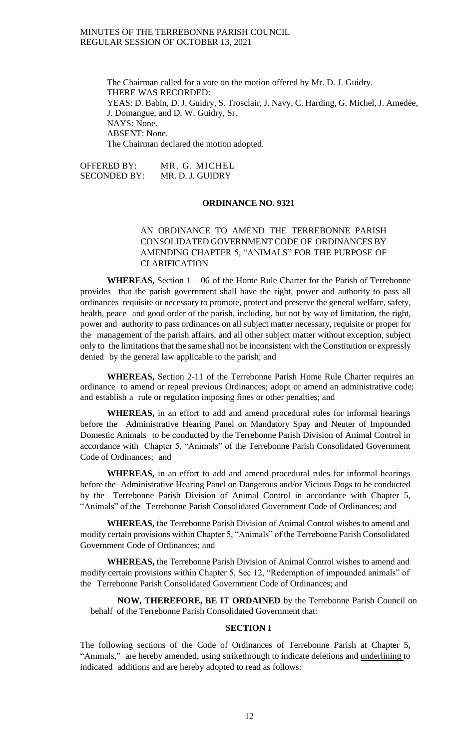The Chairman called for a vote on the motion offered by Mr. D. J. Guidry. THERE WAS RECORDED: YEAS: D. Babin, D. J. Guidry, S. Trosclair, J. Navy, C. Harding, G. Michel, J. Amedée, J. Domangue, and D. W. Guidry, Sr. NAYS: None. ABSENT: None. The Chairman declared the motion adopted.

OFFERED BY: MR. G. MICHEL<br>SECONDED BY: MR. D. J. GUIDRY MR. D. J. GUIDRY

# **ORDINANCE NO. 9321**

# AN ORDINANCE TO AMEND THE TERREBONNE PARISH CONSOLIDATED GOVERNMENT CODE OF ORDINANCES BY AMENDING CHAPTER 5, "ANIMALS" FOR THE PURPOSE OF CLARIFICATION

**WHEREAS,** Section 1 – 06 of the Home Rule Charter for the Parish of Terrebonne provides that the parish government shall have the right, power and authority to pass all ordinances requisite or necessary to promote, protect and preserve the general welfare, safety, health, peace and good order of the parish, including, but not by way of limitation, the right, power and authority to pass ordinances on all subject matter necessary, requisite or proper for the management of the parish affairs, and all other subject matter without exception, subject only to the limitations that the same shall not be inconsistent with the Constitution or expressly denied by the general law applicable to the parish; and

**WHEREAS,** Section 2-11 of the Terrebonne Parish Home Rule Charter requires an ordinance to amend or repeal previous Ordinances; adopt or amend an administrative code; and establish a rule or regulation imposing fines or other penalties; and

**WHEREAS,** in an effort to add and amend procedural rules for informal hearings before the Administrative Hearing Panel on Mandatory Spay and Neuter of Impounded Domestic Animals to be conducted by the Terrebonne Parish Division of Animal Control in accordance with Chapter 5, "Animals" of the Terrebonne Parish Consolidated Government Code of Ordinances; and

**WHEREAS,** in an effort to add and amend procedural rules for informal hearings before the Administrative Hearing Panel on Dangerous and/or Vicious Dogs to be conducted by the Terrebonne Parish Division of Animal Control in accordance with Chapter 5, "Animals" of the Terrebonne Parish Consolidated Government Code of Ordinances; and

**WHEREAS,** the Terrebonne Parish Division of Animal Control wishes to amend and modify certain provisions within Chapter 5, "Animals" of the Terrebonne Parish Consolidated Government Code of Ordinances; and

**WHEREAS,** the Terrebonne Parish Division of Animal Control wishes to amend and modify certain provisions within Chapter 5, Sec 12, "Redemption of impounded animals" of the Terrebonne Parish Consolidated Government Code of Ordinances; and

**NOW, THEREFORE, BE IT ORDAINED** by the Terrebonne Parish Council on behalf of the Terrebonne Parish Consolidated Government that:

# **SECTION I**

The following sections of the Code of Ordinances of Terrebonne Parish at Chapter 5, "Animals," are hereby amended, using strikethrough to indicate deletions and underlining to indicated additions and are hereby adopted to read as follows: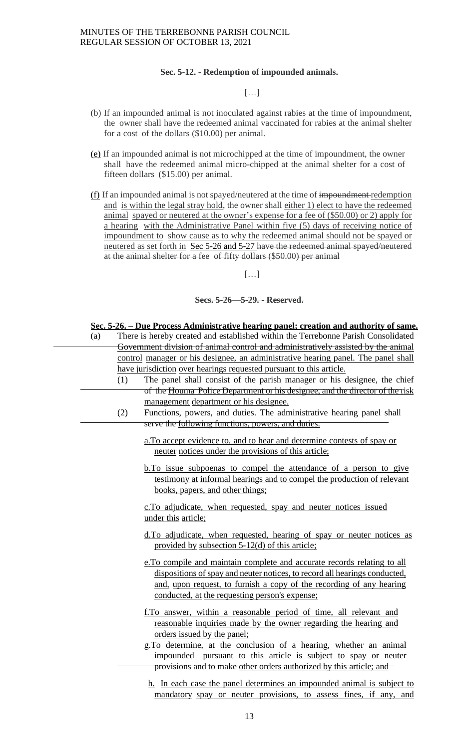### **Sec. 5-12. - Redemption of impounded animals.**

 $[\ldots]$ 

- (b) If an impounded animal is not inoculated against rabies at the time of impoundment, the owner shall have the redeemed animal vaccinated for rabies at the animal shelter for a cost of the dollars (\$10.00) per animal.
- (e) If an impounded animal is not microchipped at the time of impoundment, the owner shall have the redeemed animal micro-chipped at the animal shelter for a cost of fifteen dollars (\$15.00) per animal.
- (f) If an impounded animal is not spayed/neutered at the time of impoundment redemption and is within the legal stray hold, the owner shall either 1) elect to have the redeemed animal spayed or neutered at the owner's expense for a fee of (\$50.00) or 2) apply for a hearing with the Administrative Panel within five (5) days of receiving notice of impoundment to show cause as to why the redeemed animal should not be spayed or neutered as set forth in Sec 5-26 and 5-27 have the redeemed animal spayed/neutered at the animal shelter for a fee of fifty dollars (\$50.00) per animal

 $[\ldots]$ 

**Secs. 5-26—5-29. - Reserved.**

**Sec. 5-26. – Due Process Administrative hearing panel; creation and authority of same.**

| (a) | There is hereby created and established within the Terrebonne Parish Consolidated                                                                                                                                                                                                |  |
|-----|----------------------------------------------------------------------------------------------------------------------------------------------------------------------------------------------------------------------------------------------------------------------------------|--|
|     | Government division of animal control and administratively assisted by the animal                                                                                                                                                                                                |  |
|     | control manager or his designee, an administrative hearing panel. The panel shall                                                                                                                                                                                                |  |
|     | have jurisdiction over hearings requested pursuant to this article.                                                                                                                                                                                                              |  |
|     | The panel shall consist of the parish manager or his designee, the chief<br>(1)                                                                                                                                                                                                  |  |
|     | of the Houma Police Department or his designee, and the director of the risk                                                                                                                                                                                                     |  |
|     | management department or his designee.                                                                                                                                                                                                                                           |  |
|     | Functions, powers, and duties. The administrative hearing panel shall<br>(2)                                                                                                                                                                                                     |  |
|     | serve the following functions, powers, and duties:                                                                                                                                                                                                                               |  |
|     | a. To accept evidence to, and to hear and determine contests of spay or<br>neuter notices under the provisions of this article;                                                                                                                                                  |  |
|     | <b>b.To</b> issue subpoenas to compel the attendance of a person to give<br>testimony at informal hearings and to compel the production of relevant<br>books, papers, and other things;                                                                                          |  |
|     | c. To adjudicate, when requested, spay and neuter notices issued<br>under this article;                                                                                                                                                                                          |  |
|     | d. To adjudicate, when requested, hearing of spay or neuter notices as<br>provided by subsection 5-12(d) of this article;                                                                                                                                                        |  |
|     | e. To compile and maintain complete and accurate records relating to all<br>dispositions of spay and neuter notices, to record all hearings conducted,<br>and, upon request, to furnish a copy of the recording of any hearing<br>conducted, at the requesting person's expense; |  |
|     | f.To answer, within a reasonable period of time, all relevant and<br>reasonable inquiries made by the owner regarding the hearing and<br>orders issued by the panel;                                                                                                             |  |
|     | g.To determine, at the conclusion of a hearing, whether an animal<br>impounded pursuant to this article is subject to spay or neuter<br>provisions and to make other orders authorized by this article; and                                                                      |  |
|     | $\mathbf{r} = \mathbf{r}$ , and the state of the state of the state of the state of the state of the state of the state of the state of the state of the state of the state of the state of the state of the state of the state of the                                           |  |
|     |                                                                                                                                                                                                                                                                                  |  |

h. In each case the panel determines an impounded animal is subject to mandatory spay or neuter provisions, to assess fines, if any, and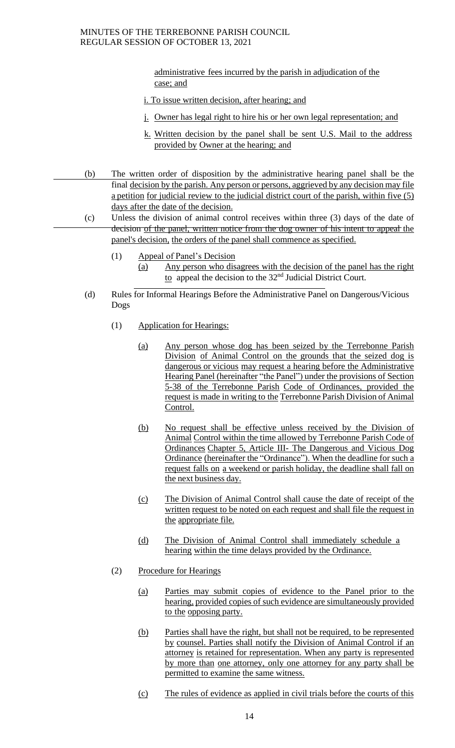administrative fees incurred by the parish in adjudication of the case; and

- i. To issue written decision, after hearing; and
- j. Owner has legal right to hire his or her own legal representation; and
- k. Written decision by the panel shall be sent U.S. Mail to the address provided by Owner at the hearing; and
- (b) The written order of disposition by the administrative hearing panel shall be the final decision by the parish. Any person or persons, aggrieved by any decision may file a petition for judicial review to the judicial district court of the parish, within five (5) days after the date of the decision.
	- (c) Unless the division of animal control receives within three (3) days of the date of decision of the panel, written notice from the dog owner of his intent to appeal the panel's decision, the orders of the panel shall commence as specified.
		- (1) Appeal of Panel's Decision
			- (a) Any person who disagrees with the decision of the panel has the right to appeal the decision to the 32nd Judicial District Court.
	- (d) Rules for Informal Hearings Before the Administrative Panel on Dangerous/Vicious Dogs
		- (1) Application for Hearings:
			- (a) Any person whose dog has been seized by the Terrebonne Parish Division of Animal Control on the grounds that the seized dog is dangerous or vicious may request a hearing before the Administrative Hearing Panel (hereinafter "the Panel") under the provisions of Section 5-38 of the Terrebonne Parish Code of Ordinances, provided the request is made in writing to the Terrebonne Parish Division of Animal Control.
			- (b) No request shall be effective unless received by the Division of Animal Control within the time allowed by Terrebonne Parish Code of Ordinances Chapter 5, Article III- The Dangerous and Vicious Dog Ordinance (hereinafter the "Ordinance"). When the deadline for such a request falls on a weekend or parish holiday, the deadline shall fall on the next business day.
			- (c) The Division of Animal Control shall cause the date of receipt of the written request to be noted on each request and shall file the request in the appropriate file.
			- (d) The Division of Animal Control shall immediately schedule a hearing within the time delays provided by the Ordinance.
		- (2) Procedure for Hearings
			- (a) Parties may submit copies of evidence to the Panel prior to the hearing, provided copies of such evidence are simultaneously provided to the opposing party.
			- (b) Parties shall have the right, but shall not be required, to be represented by counsel. Parties shall notify the Division of Animal Control if an attorney is retained for representation. When any party is represented by more than one attorney, only one attorney for any party shall be permitted to examine the same witness.
			- (c) The rules of evidence as applied in civil trials before the courts of this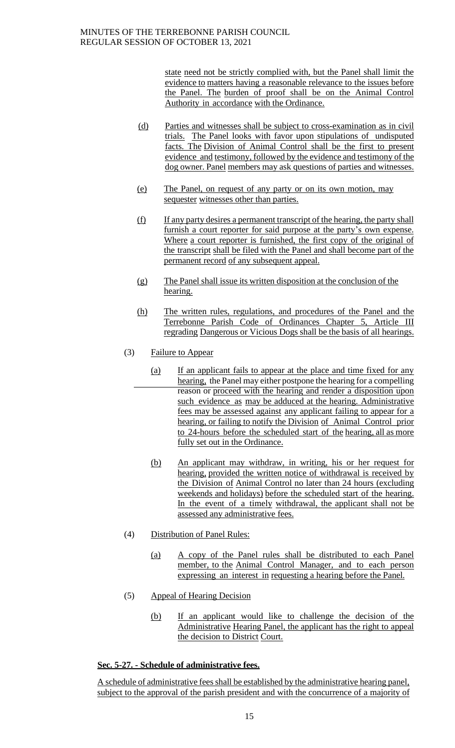state need not be strictly complied with, but the Panel shall limit the evidence to matters having a reasonable relevance to the issues before the Panel. The burden of proof shall be on the Animal Control Authority in accordance with the Ordinance.

- (d) Parties and witnesses shall be subject to cross-examination as in civil trials. The Panel looks with favor upon stipulations of undisputed facts. The Division of Animal Control shall be the first to present evidence and testimony, followed by the evidence and testimony of the dog owner. Panel members may ask questions of parties and witnesses.
- (e) The Panel, on request of any party or on its own motion, may sequester witnesses other than parties.
- (f) If any party desires a permanent transcript of the hearing, the party shall furnish a court reporter for said purpose at the party's own expense. Where a court reporter is furnished, the first copy of the original of the transcript shall be filed with the Panel and shall become part of the permanent record of any subsequent appeal.
- (g) The Panel shall issue its written disposition at the conclusion of the hearing.
- (h) The written rules, regulations, and procedures of the Panel and the Terrebonne Parish Code of Ordinances Chapter 5, Article III regrading Dangerous or Vicious Dogs shall be the basis of all hearings.
- (3) Failure to Appear
	- (a) If an applicant fails to appear at the place and time fixed for any hearing, the Panel may either postpone the hearing for a compelling reason or proceed with the hearing and render a disposition upon such evidence as may be adduced at the hearing. Administrative fees may be assessed against any applicant failing to appear for a hearing, or failing to notify the Division of Animal Control prior to 24-hours before the scheduled start of the hearing, all as more fully set out in the Ordinance.
	- (b) An applicant may withdraw, in writing, his or her request for hearing, provided the written notice of withdrawal is received by the Division of Animal Control no later than 24 hours (excluding weekends and holidays) before the scheduled start of the hearing. In the event of a timely withdrawal, the applicant shall not be assessed any administrative fees.
- (4) Distribution of Panel Rules:
	- (a) A copy of the Panel rules shall be distributed to each Panel member, to the Animal Control Manager, and to each person expressing an interest in requesting a hearing before the Panel.
- (5) Appeal of Hearing Decision
	- (b) If an applicant would like to challenge the decision of the Administrative Hearing Panel, the applicant has the right to appeal the decision to District Court.

# **Sec. 5-27. - Schedule of administrative fees.**

A schedule of administrative fees shall be established by the administrative hearing panel, subject to the approval of the parish president and with the concurrence of a majority of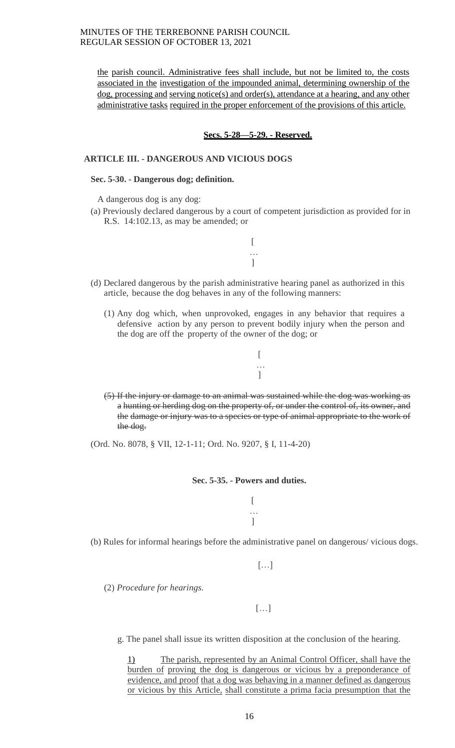the parish council. Administrative fees shall include, but not be limited to, the costs associated in the investigation of the impounded animal, determining ownership of the dog, processing and serving notice(s) and order(s), attendance at a hearing, and any other administrative tasks required in the proper enforcement of the provisions of this article.

## **Secs. 5-28—5-29. - Reserved.**

# **ARTICLE III. - DANGEROUS AND VICIOUS DOGS**

## **Sec. 5-30. - Dangerous dog; definition.**

A dangerous dog is any dog:

(a) Previously declared dangerous by a court of competent jurisdiction as provided for in R.S. 14:102.13, as may be amended; or

> [ … ]

- (d) Declared dangerous by the parish administrative hearing panel as authorized in this article, because the dog behaves in any of the following manners:
	- (1) Any dog which, when unprovoked, engages in any behavior that requires a defensive action by any person to prevent bodily injury when the person and the dog are off the property of the owner of the dog; or



(5) If the injury or damage to an animal was sustained while the dog was working as a hunting or herding dog on the property of, or under the control of, its owner, and the damage or injury was to a species or type of animal appropriate to the work of the dog.

(Ord. No. 8078, § VII, 12-1-11; Ord. No. 9207, § I, 11-4-20)

#### **Sec. 5-35. - Powers and duties.**

 $\left[ \right]$ … ]

(b) Rules for informal hearings before the administrative panel on dangerous/ vicious dogs.

 $\begin{bmatrix} ... \end{bmatrix}$ 

(2) *Procedure for hearings.*

 $[\dots]$ 

g. The panel shall issue its written disposition at the conclusion of the hearing.

1) The parish, represented by an Animal Control Officer, shall have the burden of proving the dog is dangerous or vicious by a preponderance of evidence, and proof that a dog was behaving in a manner defined as dangerous or vicious by this Article, shall constitute a prima facia presumption that the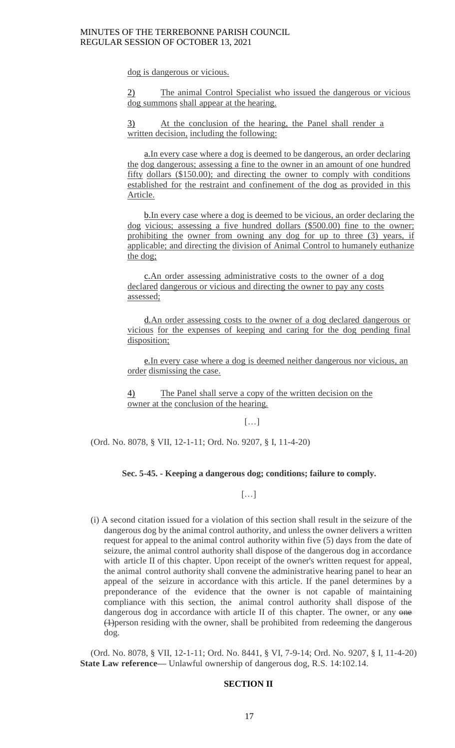dog is dangerous or vicious.

2) The animal Control Specialist who issued the dangerous or vicious dog summons shall appear at the hearing.

3) At the conclusion of the hearing, the Panel shall render a written decision, including the following:

a.In every case where a dog is deemed to be dangerous, an order declaring the dog dangerous; assessing a fine to the owner in an amount of one hundred fifty dollars (\$150.00); and directing the owner to comply with conditions established for the restraint and confinement of the dog as provided in this Article.

b.In every case where a dog is deemed to be vicious, an order declaring the dog vicious; assessing a five hundred dollars (\$500.00) fine to the owner; prohibiting the owner from owning any dog for up to three (3) years, if applicable; and directing the division of Animal Control to humanely euthanize the dog;

c.An order assessing administrative costs to the owner of a dog declared dangerous or vicious and directing the owner to pay any costs assessed;

d.An order assessing costs to the owner of a dog declared dangerous or vicious for the expenses of keeping and caring for the dog pending final disposition;

e.In every case where a dog is deemed neither dangerous nor vicious, an order dismissing the case.

4) The Panel shall serve a copy of the written decision on the owner at the conclusion of the hearing.

 $[...]$ 

(Ord. No. 8078, § VII, 12-1-11; Ord. No. 9207, § I, 11-4-20)

#### **Sec. 5-45. - Keeping a dangerous dog; conditions; failure to comply.**

 $\left[\ldots\right]$ 

(i) A second citation issued for a violation of this section shall result in the seizure of the dangerous dog by the animal control authority, and unless the owner delivers a written request for appeal to the animal control authority within five (5) days from the date of seizure, the animal control authority shall dispose of the dangerous dog in accordance with article II of this chapter. Upon receipt of the owner's written request for appeal, the animal control authority shall convene the administrative hearing panel to hear an appeal of the seizure in accordance with this article. If the panel determines by a preponderance of the evidence that the owner is not capable of maintaining compliance with this section, the animal control authority shall dispose of the dangerous dog in accordance with article II of this chapter. The owner, or any one (1)person residing with the owner, shall be prohibited from redeeming the dangerous dog.

(Ord. No. 8078, § VII, 12-1-11; Ord. No. 8441, § VI, 7-9-14; Ord. No. 9207, § I, 11-4-20) **State Law reference—** Unlawful ownership of dangerous dog, R.S. 14:102.14.

## **SECTION II**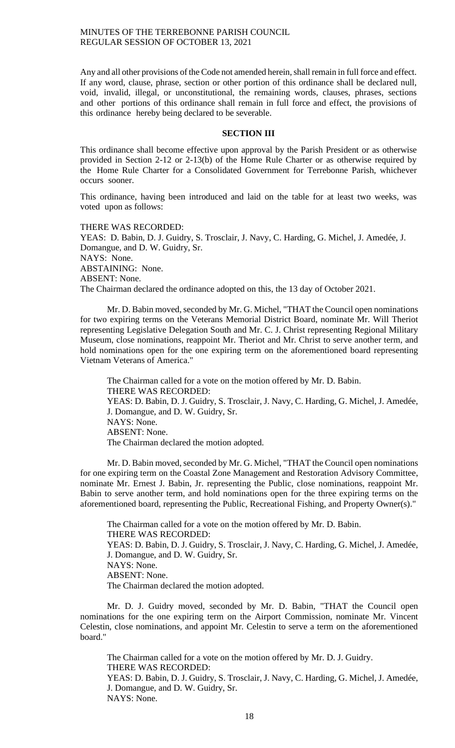Any and all other provisions of the Code not amended herein, shall remain in full force and effect. If any word, clause, phrase, section or other portion of this ordinance shall be declared null, void, invalid, illegal, or unconstitutional, the remaining words, clauses, phrases, sections and other portions of this ordinance shall remain in full force and effect, the provisions of this ordinance hereby being declared to be severable.

## **SECTION III**

This ordinance shall become effective upon approval by the Parish President or as otherwise provided in Section 2-12 or 2-13(b) of the Home Rule Charter or as otherwise required by the Home Rule Charter for a Consolidated Government for Terrebonne Parish, whichever occurs sooner.

This ordinance, having been introduced and laid on the table for at least two weeks, was voted upon as follows:

# THERE WAS RECORDED:

YEAS: D. Babin, D. J. Guidry, S. Trosclair, J. Navy, C. Harding, G. Michel, J. Amedée, J. Domangue, and D. W. Guidry, Sr. NAYS: None. ABSTAINING: None. ABSENT: None. The Chairman declared the ordinance adopted on this, the 13 day of October 2021.

Mr. D. Babin moved, seconded by Mr. G. Michel, "THAT the Council open nominations for two expiring terms on the Veterans Memorial District Board, nominate Mr. Will Theriot representing Legislative Delegation South and Mr. C. J. Christ representing Regional Military Museum, close nominations, reappoint Mr. Theriot and Mr. Christ to serve another term, and hold nominations open for the one expiring term on the aforementioned board representing Vietnam Veterans of America."

The Chairman called for a vote on the motion offered by Mr. D. Babin. THERE WAS RECORDED: YEAS: D. Babin, D. J. Guidry, S. Trosclair, J. Navy, C. Harding, G. Michel, J. Amedée, J. Domangue, and D. W. Guidry, Sr. NAYS: None. ABSENT: None. The Chairman declared the motion adopted.

Mr. D. Babin moved, seconded by Mr. G. Michel, "THAT the Council open nominations for one expiring term on the Coastal Zone Management and Restoration Advisory Committee, nominate Mr. Ernest J. Babin, Jr. representing the Public, close nominations, reappoint Mr. Babin to serve another term, and hold nominations open for the three expiring terms on the aforementioned board, representing the Public, Recreational Fishing, and Property Owner(s)."

The Chairman called for a vote on the motion offered by Mr. D. Babin. THERE WAS RECORDED: YEAS: D. Babin, D. J. Guidry, S. Trosclair, J. Navy, C. Harding, G. Michel, J. Amedée, J. Domangue, and D. W. Guidry, Sr. NAYS: None. ABSENT: None. The Chairman declared the motion adopted.

Mr. D. J. Guidry moved, seconded by Mr. D. Babin, "THAT the Council open nominations for the one expiring term on the Airport Commission, nominate Mr. Vincent Celestin, close nominations, and appoint Mr. Celestin to serve a term on the aforementioned board."

The Chairman called for a vote on the motion offered by Mr. D. J. Guidry. THERE WAS RECORDED: YEAS: D. Babin, D. J. Guidry, S. Trosclair, J. Navy, C. Harding, G. Michel, J. Amedée, J. Domangue, and D. W. Guidry, Sr. NAYS: None.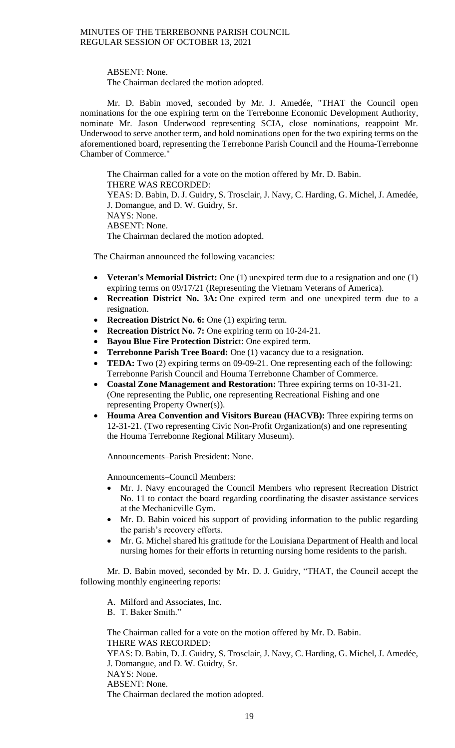ABSENT: None. The Chairman declared the motion adopted.

Mr. D. Babin moved, seconded by Mr. J. Amedée, "THAT the Council open nominations for the one expiring term on the Terrebonne Economic Development Authority, nominate Mr. Jason Underwood representing SCIA, close nominations, reappoint Mr. Underwood to serve another term, and hold nominations open for the two expiring terms on the aforementioned board, representing the Terrebonne Parish Council and the Houma-Terrebonne Chamber of Commerce."

The Chairman called for a vote on the motion offered by Mr. D. Babin. THERE WAS RECORDED: YEAS: D. Babin, D. J. Guidry, S. Trosclair, J. Navy, C. Harding, G. Michel, J. Amedée, J. Domangue, and D. W. Guidry, Sr. NAYS: None. ABSENT: None. The Chairman declared the motion adopted.

The Chairman announced the following vacancies:

- **Veteran's Memorial District:** One (1) unexpired term due to a resignation and one (1) expiring terms on 09/17/21 (Representing the Vietnam Veterans of America).
- **Recreation District No. 3A:** One expired term and one unexpired term due to a resignation.
- **Recreation District No. 6:** One (1) expiring term.
- **Recreation District No. 7:** One expiring term on 10-24-21.
- **Bayou Blue Fire Protection District:** One expired term.
- **Terrebonne Parish Tree Board:** One (1) vacancy due to a resignation.
- **TEDA:** Two (2) expiring terms on 09-09-21. One representing each of the following: Terrebonne Parish Council and Houma Terrebonne Chamber of Commerce.
- **Coastal Zone Management and Restoration:** Three expiring terms on 10-31-21. (One representing the Public, one representing Recreational Fishing and one representing Property Owner(s)).
- **Houma Area Convention and Visitors Bureau (HACVB):** Three expiring terms on 12-31-21. (Two representing Civic Non-Profit Organization(s) and one representing the Houma Terrebonne Regional Military Museum).

Announcements–Parish President: None.

Announcements–Council Members:

- Mr. J. Navy encouraged the Council Members who represent Recreation District No. 11 to contact the board regarding coordinating the disaster assistance services at the Mechanicville Gym.
- Mr. D. Babin voiced his support of providing information to the public regarding the parish's recovery efforts.
- Mr. G. Michel shared his gratitude for the Louisiana Department of Health and local nursing homes for their efforts in returning nursing home residents to the parish.

Mr. D. Babin moved, seconded by Mr. D. J. Guidry, "THAT, the Council accept the following monthly engineering reports:

A. Milford and Associates, Inc.

B. T. Baker Smith."

The Chairman called for a vote on the motion offered by Mr. D. Babin. THERE WAS RECORDED: YEAS: D. Babin, D. J. Guidry, S. Trosclair, J. Navy, C. Harding, G. Michel, J. Amedée, J. Domangue, and D. W. Guidry, Sr. NAYS: None. ABSENT: None. The Chairman declared the motion adopted.